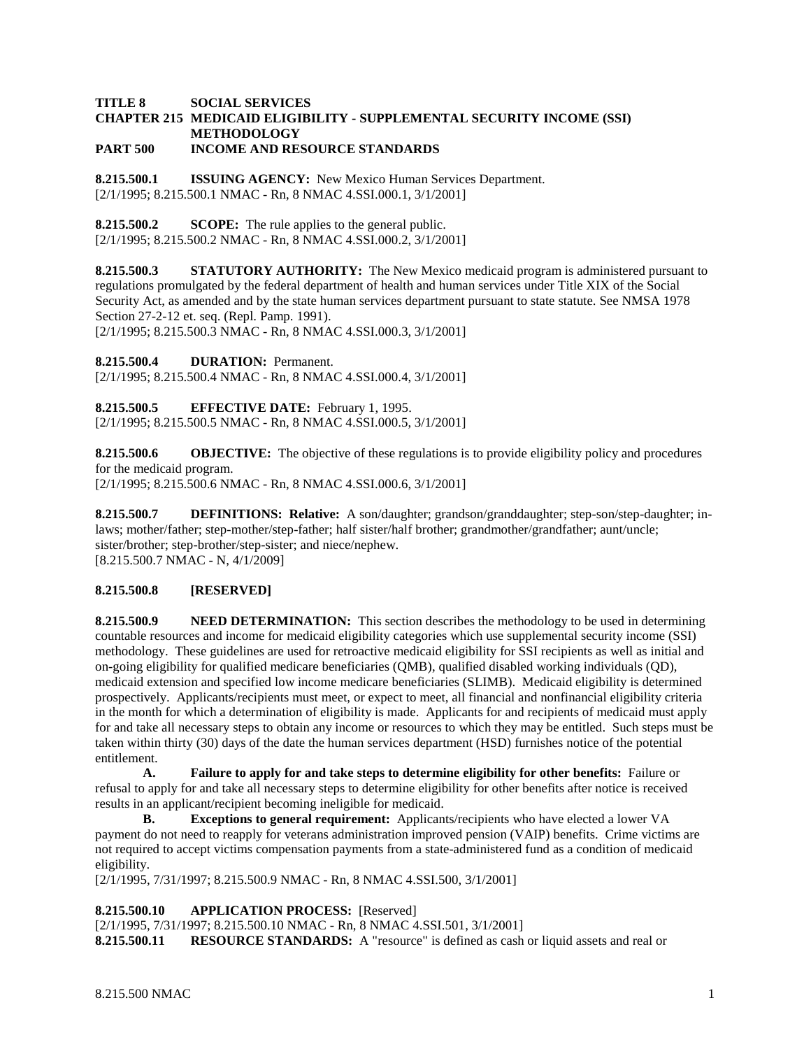#### **TITLE 8 SOCIAL SERVICES CHAPTER 215 MEDICAID ELIGIBILITY - SUPPLEMENTAL SECURITY INCOME (SSI) METHODOLOGY PART 500 INCOME AND RESOURCE STANDARDS**

**8.215.500.1 ISSUING AGENCY:** New Mexico Human Services Department. [2/1/1995; 8.215.500.1 NMAC - Rn, 8 NMAC 4.SSI.000.1, 3/1/2001]

**8.215.500.2 SCOPE:** The rule applies to the general public. [2/1/1995; 8.215.500.2 NMAC - Rn, 8 NMAC 4.SSI.000.2, 3/1/2001]

**8.215.500.3 STATUTORY AUTHORITY:** The New Mexico medicaid program is administered pursuant to regulations promulgated by the federal department of health and human services under Title XIX of the Social Security Act, as amended and by the state human services department pursuant to state statute. See NMSA 1978 Section 27-2-12 et. seq. (Repl. Pamp. 1991).

[2/1/1995; 8.215.500.3 NMAC - Rn, 8 NMAC 4.SSI.000.3, 3/1/2001]

**8.215.500.4 DURATION:** Permanent.

[2/1/1995; 8.215.500.4 NMAC - Rn, 8 NMAC 4.SSI.000.4, 3/1/2001]

**8.215.500.5 EFFECTIVE DATE:** February 1, 1995. [2/1/1995; 8.215.500.5 NMAC - Rn, 8 NMAC 4.SSI.000.5, 3/1/2001]

**8.215.500.6 OBJECTIVE:** The objective of these regulations is to provide eligibility policy and procedures for the medicaid program.

[2/1/1995; 8.215.500.6 NMAC - Rn, 8 NMAC 4.SSI.000.6, 3/1/2001]

**8.215.500.7 DEFINITIONS: Relative:** A son/daughter; grandson/granddaughter; step-son/step-daughter; inlaws; mother/father; step-mother/step-father; half sister/half brother; grandmother/grandfather; aunt/uncle; sister/brother; step-brother/step-sister; and niece/nephew. [8.215.500.7 NMAC - N, 4/1/2009]

## **8.215.500.8 [RESERVED]**

**8.215.500.9 NEED DETERMINATION:** This section describes the methodology to be used in determining countable resources and income for medicaid eligibility categories which use supplemental security income (SSI) methodology. These guidelines are used for retroactive medicaid eligibility for SSI recipients as well as initial and on-going eligibility for qualified medicare beneficiaries (QMB), qualified disabled working individuals (QD), medicaid extension and specified low income medicare beneficiaries (SLIMB). Medicaid eligibility is determined prospectively. Applicants/recipients must meet, or expect to meet, all financial and nonfinancial eligibility criteria in the month for which a determination of eligibility is made. Applicants for and recipients of medicaid must apply for and take all necessary steps to obtain any income or resources to which they may be entitled. Such steps must be taken within thirty (30) days of the date the human services department (HSD) furnishes notice of the potential entitlement.

**A. Failure to apply for and take steps to determine eligibility for other benefits:** Failure or refusal to apply for and take all necessary steps to determine eligibility for other benefits after notice is received results in an applicant/recipient becoming ineligible for medicaid.

**B. Exceptions to general requirement:** Applicants/recipients who have elected a lower VA payment do not need to reapply for veterans administration improved pension (VAIP) benefits. Crime victims are not required to accept victims compensation payments from a state-administered fund as a condition of medicaid eligibility.

[2/1/1995, 7/31/1997; 8.215.500.9 NMAC - Rn, 8 NMAC 4.SSI.500, 3/1/2001]

**8.215.500.10 APPLICATION PROCESS:** [Reserved]

[2/1/1995, 7/31/1997; 8.215.500.10 NMAC - Rn, 8 NMAC 4.SSI.501, 3/1/2001] **8.215.500.11 RESOURCE STANDARDS:** A "resource" is defined as cash or liquid assets and real or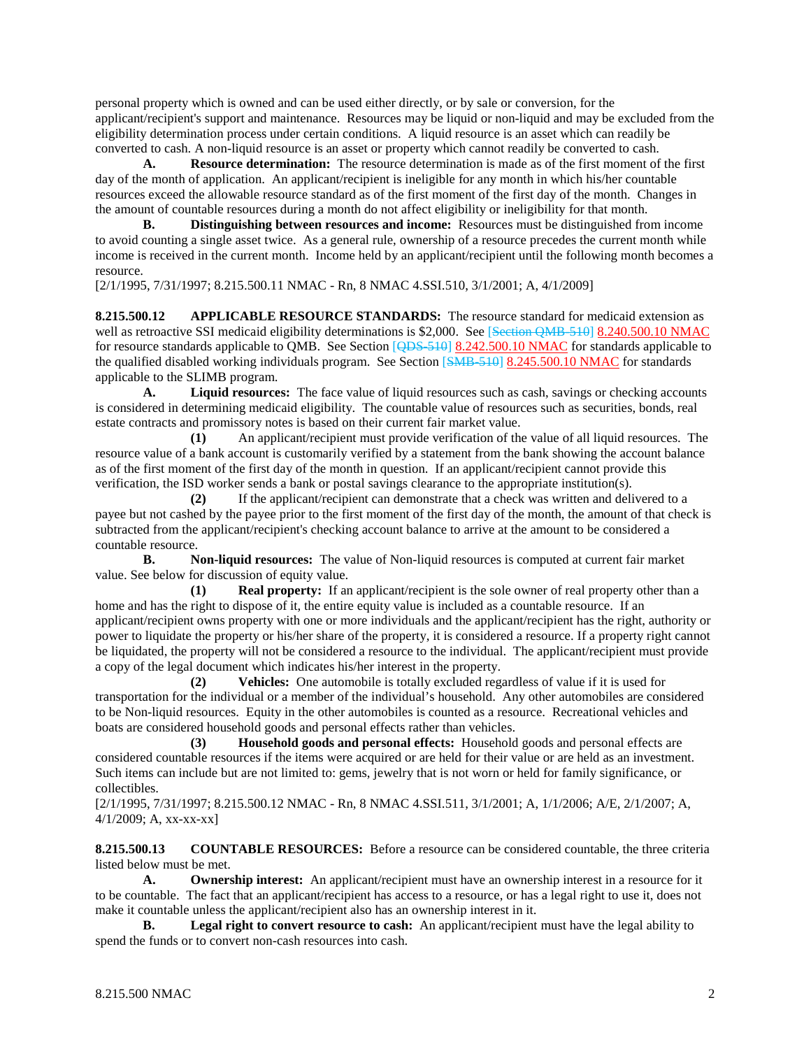personal property which is owned and can be used either directly, or by sale or conversion, for the applicant/recipient's support and maintenance. Resources may be liquid or non-liquid and may be excluded from the eligibility determination process under certain conditions. A liquid resource is an asset which can readily be converted to cash. A non-liquid resource is an asset or property which cannot readily be converted to cash.

**A. Resource determination:** The resource determination is made as of the first moment of the first day of the month of application. An applicant/recipient is ineligible for any month in which his/her countable resources exceed the allowable resource standard as of the first moment of the first day of the month. Changes in the amount of countable resources during a month do not affect eligibility or ineligibility for that month.

**B. Distinguishing between resources and income:** Resources must be distinguished from income to avoid counting a single asset twice. As a general rule, ownership of a resource precedes the current month while income is received in the current month. Income held by an applicant/recipient until the following month becomes a resource.

[2/1/1995, 7/31/1997; 8.215.500.11 NMAC - Rn, 8 NMAC 4.SSI.510, 3/1/2001; A, 4/1/2009]

**8.215.500.12 APPLICABLE RESOURCE STANDARDS:** The resource standard for medicaid extension as well as retroactive SSI medicaid eligibility determinations is \$2,000. See [Section QMB-510] 8.240.500.10 NMAC for resource standards applicable to QMB. See Section [QDS-510] 8.242.500.10 NMAC for standards applicable to the qualified disabled working individuals program. See Section [SMB-510] 8.245.500.10 NMAC for standards applicable to the SLIMB program.<br>A. Liquid resource

**A. Liquid resources:** The face value of liquid resources such as cash, savings or checking accounts is considered in determining medicaid eligibility. The countable value of resources such as securities, bonds, real estate contracts and promissory notes is based on their current fair market value.

**(1)** An applicant/recipient must provide verification of the value of all liquid resources. The resource value of a bank account is customarily verified by a statement from the bank showing the account balance as of the first moment of the first day of the month in question. If an applicant/recipient cannot provide this verification, the ISD worker sends a bank or postal savings clearance to the appropriate institution(s).

**(2)** If the applicant/recipient can demonstrate that a check was written and delivered to a payee but not cashed by the payee prior to the first moment of the first day of the month, the amount of that check is subtracted from the applicant/recipient's checking account balance to arrive at the amount to be considered a countable resource.

**B. Non-liquid resources:** The value of Non-liquid resources is computed at current fair market value. See below for discussion of equity value.

**(1) Real property:** If an applicant/recipient is the sole owner of real property other than a home and has the right to dispose of it, the entire equity value is included as a countable resource. If an applicant/recipient owns property with one or more individuals and the applicant/recipient has the right, authority or power to liquidate the property or his/her share of the property, it is considered a resource. If a property right cannot be liquidated, the property will not be considered a resource to the individual. The applicant/recipient must provide a copy of the legal document which indicates his/her interest in the property.

**(2) Vehicles:** One automobile is totally excluded regardless of value if it is used for transportation for the individual or a member of the individual's household. Any other automobiles are considered to be Non-liquid resources. Equity in the other automobiles is counted as a resource. Recreational vehicles and boats are considered household goods and personal effects rather than vehicles.

**(3) Household goods and personal effects:** Household goods and personal effects are considered countable resources if the items were acquired or are held for their value or are held as an investment. Such items can include but are not limited to: gems, jewelry that is not worn or held for family significance, or collectibles.

[2/1/1995, 7/31/1997; 8.215.500.12 NMAC - Rn, 8 NMAC 4.SSI.511, 3/1/2001; A, 1/1/2006; A/E, 2/1/2007; A, 4/1/2009; A, xx-xx-xx]

**8.215.500.13 COUNTABLE RESOURCES:** Before a resource can be considered countable, the three criteria listed below must be met.

**A. Ownership interest:** An applicant/recipient must have an ownership interest in a resource for it to be countable. The fact that an applicant/recipient has access to a resource, or has a legal right to use it, does not make it countable unless the applicant/recipient also has an ownership interest in it.

**B. Legal right to convert resource to cash:** An applicant/recipient must have the legal ability to spend the funds or to convert non-cash resources into cash.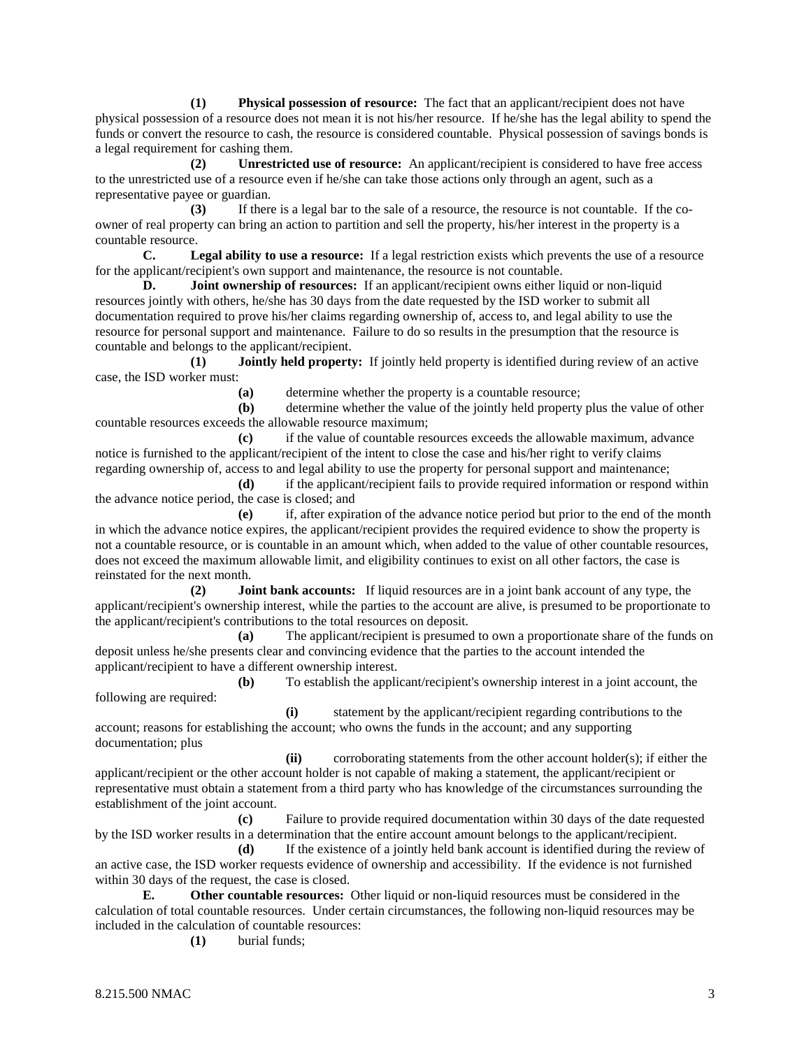**(1) Physical possession of resource:** The fact that an applicant/recipient does not have physical possession of a resource does not mean it is not his/her resource. If he/she has the legal ability to spend the funds or convert the resource to cash, the resource is considered countable. Physical possession of savings bonds is a legal requirement for cashing them.

**(2) Unrestricted use of resource:** An applicant/recipient is considered to have free access to the unrestricted use of a resource even if he/she can take those actions only through an agent, such as a representative payee or guardian.

**(3)** If there is a legal bar to the sale of a resource, the resource is not countable. If the coowner of real property can bring an action to partition and sell the property, his/her interest in the property is a countable resource.

**C. Legal ability to use a resource:** If a legal restriction exists which prevents the use of a resource for the applicant/recipient's own support and maintenance, the resource is not countable.

**D. Joint ownership of resources:** If an applicant/recipient owns either liquid or non-liquid resources jointly with others, he/she has 30 days from the date requested by the ISD worker to submit all documentation required to prove his/her claims regarding ownership of, access to, and legal ability to use the resource for personal support and maintenance. Failure to do so results in the presumption that the resource is countable and belongs to the applicant/recipient.

**(1) Jointly held property:** If jointly held property is identified during review of an active case, the ISD worker must:

**(a)** determine whether the property is a countable resource;

**(b)** determine whether the value of the jointly held property plus the value of other countable resources exceeds the allowable resource maximum;

**(c)** if the value of countable resources exceeds the allowable maximum, advance notice is furnished to the applicant/recipient of the intent to close the case and his/her right to verify claims regarding ownership of, access to and legal ability to use the property for personal support and maintenance;

**(d)** if the applicant/recipient fails to provide required information or respond within the advance notice period, the case is closed; and

**(e)** if, after expiration of the advance notice period but prior to the end of the month in which the advance notice expires, the applicant/recipient provides the required evidence to show the property is not a countable resource, or is countable in an amount which, when added to the value of other countable resources, does not exceed the maximum allowable limit, and eligibility continues to exist on all other factors, the case is reinstated for the next month.

**(2) Joint bank accounts:** If liquid resources are in a joint bank account of any type, the applicant/recipient's ownership interest, while the parties to the account are alive, is presumed to be proportionate to the applicant/recipient's contributions to the total resources on deposit.

**(a)** The applicant/recipient is presumed to own a proportionate share of the funds on deposit unless he/she presents clear and convincing evidence that the parties to the account intended the applicant/recipient to have a different ownership interest.

**(b)** To establish the applicant/recipient's ownership interest in a joint account, the following are required:

**(i)** statement by the applicant/recipient regarding contributions to the account; reasons for establishing the account; who owns the funds in the account; and any supporting documentation; plus

**(ii)** corroborating statements from the other account holder(s); if either the applicant/recipient or the other account holder is not capable of making a statement, the applicant/recipient or representative must obtain a statement from a third party who has knowledge of the circumstances surrounding the establishment of the joint account.

**(c)** Failure to provide required documentation within 30 days of the date requested by the ISD worker results in a determination that the entire account amount belongs to the applicant/recipient.

**(d)** If the existence of a jointly held bank account is identified during the review of an active case, the ISD worker requests evidence of ownership and accessibility. If the evidence is not furnished within 30 days of the request, the case is closed.

**E. Other countable resources:** Other liquid or non-liquid resources must be considered in the calculation of total countable resources. Under certain circumstances, the following non-liquid resources may be included in the calculation of countable resources:

**(1)** burial funds;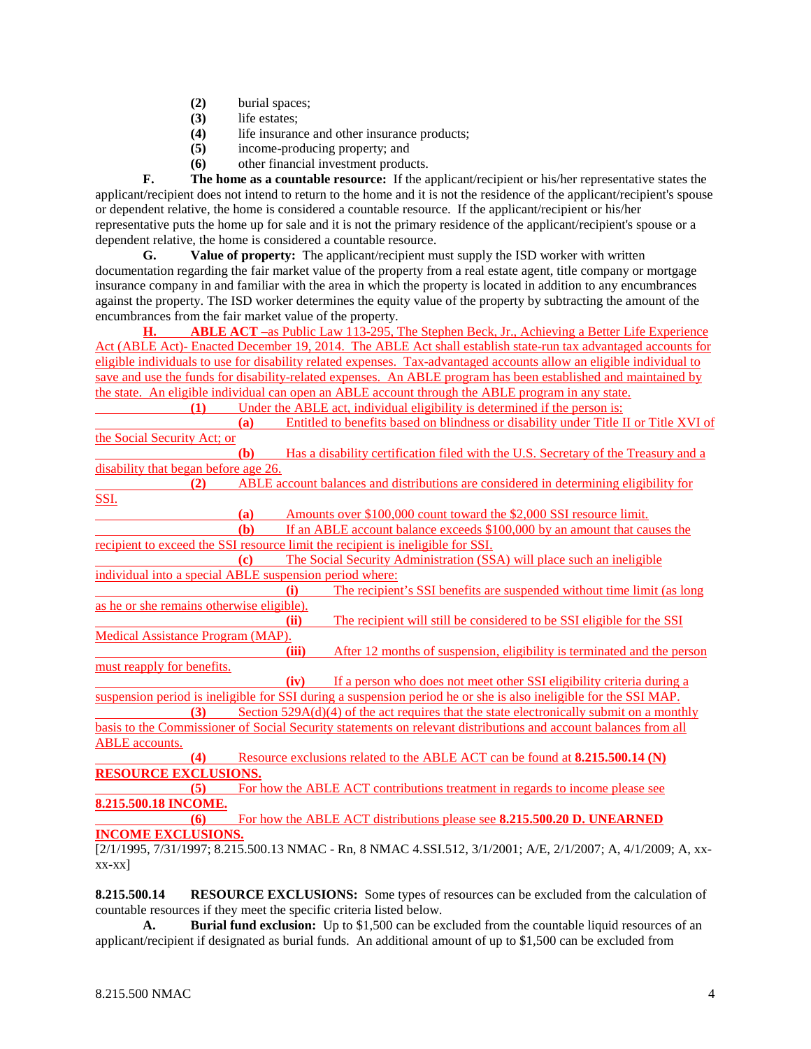- **(2)** burial spaces;
- **(3)** life estates;
- **(4)** life insurance and other insurance products;
- **(5)** income-producing property; and
- **(6)** other financial investment products.

**F. The home as a countable resource:** If the applicant/recipient or his/her representative states the applicant/recipient does not intend to return to the home and it is not the residence of the applicant/recipient's spouse or dependent relative, the home is considered a countable resource. If the applicant/recipient or his/her representative puts the home up for sale and it is not the primary residence of the applicant/recipient's spouse or a dependent relative, the home is considered a countable resource.

**G. Value of property:** The applicant/recipient must supply the ISD worker with written documentation regarding the fair market value of the property from a real estate agent, title company or mortgage insurance company in and familiar with the area in which the property is located in addition to any encumbrances against the property. The ISD worker determines the equity value of the property by subtracting the amount of the encumbrances from the fair market value of the property.

**H. ABLE ACT** –as Public Law 113-295, The Stephen Beck, Jr., Achieving a Better Life Experience Act (ABLE Act)- Enacted December 19, 2014. The ABLE Act shall establish state-run tax advantaged accounts for eligible individuals to use for disability related expenses. Tax-advantaged accounts allow an eligible individual to save and use the funds for disability-related expenses. An ABLE program has been established and maintained by the state. An eligible individual can open an ABLE account through the ABLE program in any state. **(1)** Under the ABLE act, individual eligibility is determined if the person is: **(a)** Entitled to benefits based on blindness or disability under Title II or Title XVI of the Social Security Act; or **(b)** Has a disability certification filed with the U.S. Secretary of the Treasury and a disability that began before age 26. **(2)** ABLE account balances and distributions are considered in determining eligibility for SSI. **(a)** Amounts over \$100,000 count toward the \$2,000 SSI resource limit. **(b)** If an ABLE account balance exceeds \$100,000 by an amount that causes the recipient to exceed the SSI resource limit the recipient is ineligible for SSI. **(c)** The Social Security Administration (SSA) will place such an ineligible individual into a special ABLE suspension period where: **(i)** The recipient's SSI benefits are suspended without time limit (as long as he or she remains otherwise eligible). The recipient will still be considered to be SSI eligible for the SSI Medical Assistance Program (MAP). **(iii)** After 12 months of suspension, eligibility is terminated and the person must reapply for benefits. **(iv)** If a person who does not meet other SSI eligibility criteria during a suspension period is ineligible for SSI during a suspension period he or she is also ineligible for the SSI MAP. **(3)** Section 529A(d)(4) of the act requires that the state electronically submit on a monthly basis to the Commissioner of Social Security statements on relevant distributions and account balances from all ABLE accounts. **(4)** Resource exclusions related to the ABLE ACT can be found at **8.215.500.14 (N) RESOURCE EXCLUSIONS. (5)** For how the ABLE ACT contributions treatment in regards to income please see **8.215.500.18 INCOME. (6)** For how the ABLE ACT distributions please see **8.215.500.20 D. UNEARNED INCOME EXCLUSIONS.**

[2/1/1995, 7/31/1997; 8.215.500.13 NMAC - Rn, 8 NMAC 4.SSI.512, 3/1/2001; A/E, 2/1/2007; A, 4/1/2009; A, xxxx-xx]

**8.215.500.14 RESOURCE EXCLUSIONS:** Some types of resources can be excluded from the calculation of countable resources if they meet the specific criteria listed below.

**A. Burial fund exclusion:** Up to \$1,500 can be excluded from the countable liquid resources of an applicant/recipient if designated as burial funds. An additional amount of up to \$1,500 can be excluded from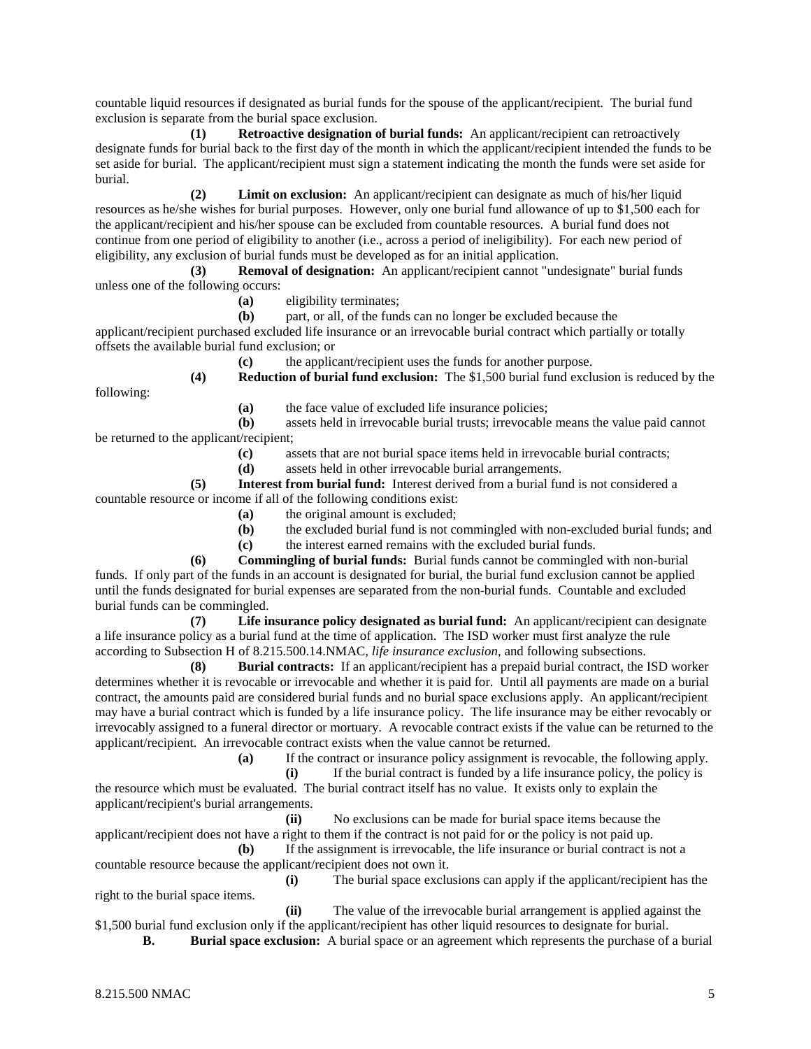countable liquid resources if designated as burial funds for the spouse of the applicant/recipient. The burial fund exclusion is separate from the burial space exclusion.

**(1) Retroactive designation of burial funds:** An applicant/recipient can retroactively designate funds for burial back to the first day of the month in which the applicant/recipient intended the funds to be set aside for burial. The applicant/recipient must sign a statement indicating the month the funds were set aside for burial.

**(2) Limit on exclusion:** An applicant/recipient can designate as much of his/her liquid resources as he/she wishes for burial purposes. However, only one burial fund allowance of up to \$1,500 each for the applicant/recipient and his/her spouse can be excluded from countable resources. A burial fund does not continue from one period of eligibility to another (i.e., across a period of ineligibility). For each new period of eligibility, any exclusion of burial funds must be developed as for an initial application.

**(3) Removal of designation:** An applicant/recipient cannot "undesignate" burial funds unless one of the following occurs:

**(a)** eligibility terminates;

**(b)** part, or all, of the funds can no longer be excluded because the applicant/recipient purchased excluded life insurance or an irrevocable burial contract which partially or totally offsets the available burial fund exclusion; or

> **(c)** the applicant/recipient uses the funds for another purpose. **(4) Reduction of burial fund exclusion:** The \$1,500 burial fund exclusion is reduced by the

following:

**(a)** the face value of excluded life insurance policies;

**(b)** assets held in irrevocable burial trusts; irrevocable means the value paid cannot be returned to the applicant/recipient;

**(c)** assets that are not burial space items held in irrevocable burial contracts;

**(d)** assets held in other irrevocable burial arrangements.

**(5) Interest from burial fund:** Interest derived from a burial fund is not considered a countable resource or income if all of the following conditions exist:

- **(a)** the original amount is excluded;
	- **(b)** the excluded burial fund is not commingled with non-excluded burial funds; and

**(c)** the interest earned remains with the excluded burial funds.

**(6) Commingling of burial funds:** Burial funds cannot be commingled with non-burial funds. If only part of the funds in an account is designated for burial, the burial fund exclusion cannot be applied until the funds designated for burial expenses are separated from the non-burial funds. Countable and excluded burial funds can be commingled.

**(7) Life insurance policy designated as burial fund:** An applicant/recipient can designate a life insurance policy as a burial fund at the time of application. The ISD worker must first analyze the rule according to Subsection H of 8.215.500.14.NMAC, *life insurance exclusion*, and following subsections.

**(8) Burial contracts:** If an applicant/recipient has a prepaid burial contract, the ISD worker determines whether it is revocable or irrevocable and whether it is paid for. Until all payments are made on a burial contract, the amounts paid are considered burial funds and no burial space exclusions apply. An applicant/recipient may have a burial contract which is funded by a life insurance policy. The life insurance may be either revocably or irrevocably assigned to a funeral director or mortuary. A revocable contract exists if the value can be returned to the applicant/recipient. An irrevocable contract exists when the value cannot be returned.

**(a)** If the contract or insurance policy assignment is revocable, the following apply.

**(i)** If the burial contract is funded by a life insurance policy, the policy is the resource which must be evaluated. The burial contract itself has no value. It exists only to explain the applicant/recipient's burial arrangements.

**(ii)** No exclusions can be made for burial space items because the applicant/recipient does not have a right to them if the contract is not paid for or the policy is not paid up.

**(b)** If the assignment is irrevocable, the life insurance or burial contract is not a countable resource because the applicant/recipient does not own it.

**(i)** The burial space exclusions can apply if the applicant/recipient has the right to the burial space items.

**(ii)** The value of the irrevocable burial arrangement is applied against the \$1,500 burial fund exclusion only if the applicant/recipient has other liquid resources to designate for burial.

**B. Burial space exclusion:** A burial space or an agreement which represents the purchase of a burial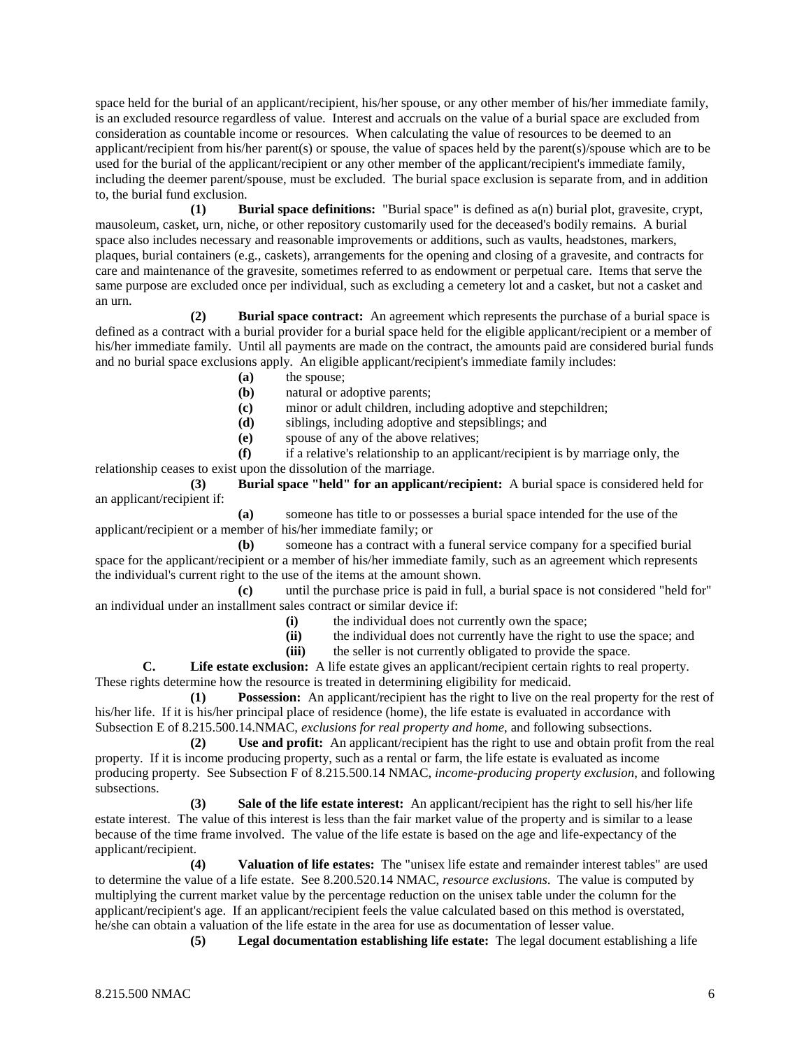space held for the burial of an applicant/recipient, his/her spouse, or any other member of his/her immediate family, is an excluded resource regardless of value. Interest and accruals on the value of a burial space are excluded from consideration as countable income or resources. When calculating the value of resources to be deemed to an applicant/recipient from his/her parent(s) or spouse, the value of spaces held by the parent(s)/spouse which are to be used for the burial of the applicant/recipient or any other member of the applicant/recipient's immediate family, including the deemer parent/spouse, must be excluded. The burial space exclusion is separate from, and in addition to, the burial fund exclusion.

**(1) Burial space definitions:** "Burial space" is defined as a(n) burial plot, gravesite, crypt, mausoleum, casket, urn, niche, or other repository customarily used for the deceased's bodily remains. A burial space also includes necessary and reasonable improvements or additions, such as vaults, headstones, markers, plaques, burial containers (e.g., caskets), arrangements for the opening and closing of a gravesite, and contracts for care and maintenance of the gravesite, sometimes referred to as endowment or perpetual care. Items that serve the same purpose are excluded once per individual, such as excluding a cemetery lot and a casket, but not a casket and an urn.

**(2) Burial space contract:** An agreement which represents the purchase of a burial space is defined as a contract with a burial provider for a burial space held for the eligible applicant/recipient or a member of his/her immediate family. Until all payments are made on the contract, the amounts paid are considered burial funds and no burial space exclusions apply. An eligible applicant/recipient's immediate family includes:

- (a) the spouse;<br>(b) natural or a
- natural or adoptive parents;
- **(c)** minor or adult children, including adoptive and stepchildren;
- **(d)** siblings, including adoptive and stepsiblings; and
- **(e)** spouse of any of the above relatives;

**(f)** if a relative's relationship to an applicant/recipient is by marriage only, the relationship ceases to exist upon the dissolution of the marriage.

**(3) Burial space "held" for an applicant/recipient:** A burial space is considered held for an applicant/recipient if:

**(a)** someone has title to or possesses a burial space intended for the use of the applicant/recipient or a member of his/her immediate family; or

**(b)** someone has a contract with a funeral service company for a specified burial space for the applicant/recipient or a member of his/her immediate family, such as an agreement which represents the individual's current right to the use of the items at the amount shown.

**(c)** until the purchase price is paid in full, a burial space is not considered "held for" an individual under an installment sales contract or similar device if:

- **(i)** the individual does not currently own the space;
- **(ii)** the individual does not currently have the right to use the space; and
- **(iii)** the seller is not currently obligated to provide the space.

**C. Life estate exclusion:** A life estate gives an applicant/recipient certain rights to real property. These rights determine how the resource is treated in determining eligibility for medicaid.

**(1) Possession:** An applicant/recipient has the right to live on the real property for the rest of his/her life. If it is his/her principal place of residence (home), the life estate is evaluated in accordance with Subsection E of 8.215.500.14.NMAC, *exclusions for real property and home*, and following subsections.

**(2) Use and profit:** An applicant/recipient has the right to use and obtain profit from the real property. If it is income producing property, such as a rental or farm, the life estate is evaluated as income producing property. See Subsection F of 8.215.500.14 NMAC, *income-producing property exclusion*, and following subsections.

**(3) Sale of the life estate interest:** An applicant/recipient has the right to sell his/her life estate interest. The value of this interest is less than the fair market value of the property and is similar to a lease because of the time frame involved. The value of the life estate is based on the age and life-expectancy of the applicant/recipient.

**(4) Valuation of life estates:** The "unisex life estate and remainder interest tables" are used to determine the value of a life estate. See 8.200.520.14 NMAC, *resource exclusions*. The value is computed by multiplying the current market value by the percentage reduction on the unisex table under the column for the applicant/recipient's age. If an applicant/recipient feels the value calculated based on this method is overstated, he/she can obtain a valuation of the life estate in the area for use as documentation of lesser value.

**(5) Legal documentation establishing life estate:** The legal document establishing a life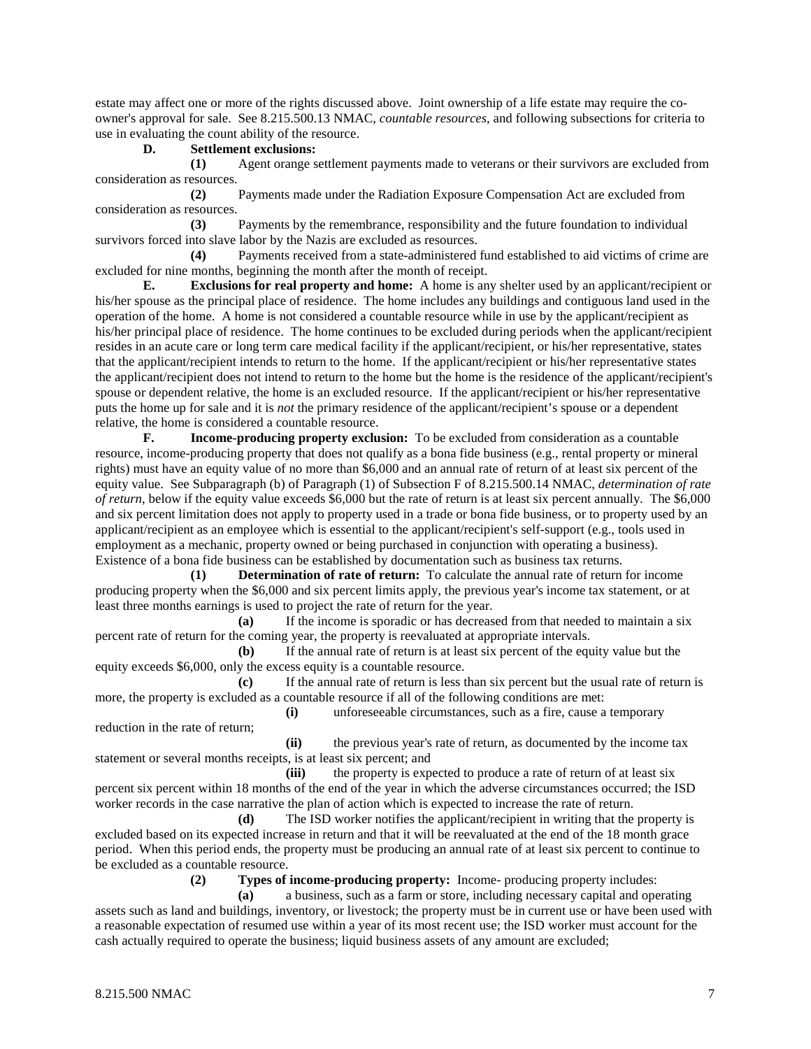estate may affect one or more of the rights discussed above. Joint ownership of a life estate may require the coowner's approval for sale. See 8.215.500.13 NMAC, *countable resources*, and following subsections for criteria to use in evaluating the count ability of the resource.

#### **D. Settlement exclusions:**

**(1)** Agent orange settlement payments made to veterans or their survivors are excluded from consideration as resources.

**(2)** Payments made under the Radiation Exposure Compensation Act are excluded from consideration as resources.

**(3)** Payments by the remembrance, responsibility and the future foundation to individual survivors forced into slave labor by the Nazis are excluded as resources.

**(4)** Payments received from a state-administered fund established to aid victims of crime are excluded for nine months, beginning the month after the month of receipt.

**E. Exclusions for real property and home:** A home is any shelter used by an applicant/recipient or his/her spouse as the principal place of residence. The home includes any buildings and contiguous land used in the operation of the home. A home is not considered a countable resource while in use by the applicant/recipient as his/her principal place of residence. The home continues to be excluded during periods when the applicant/recipient resides in an acute care or long term care medical facility if the applicant/recipient, or his/her representative, states that the applicant/recipient intends to return to the home. If the applicant/recipient or his/her representative states the applicant/recipient does not intend to return to the home but the home is the residence of the applicant/recipient's spouse or dependent relative, the home is an excluded resource. If the applicant/recipient or his/her representative puts the home up for sale and it is *not* the primary residence of the applicant/recipient's spouse or a dependent relative, the home is considered a countable resource.

**F. Income-producing property exclusion:** To be excluded from consideration as a countable resource, income-producing property that does not qualify as a bona fide business (e.g., rental property or mineral rights) must have an equity value of no more than \$6,000 and an annual rate of return of at least six percent of the equity value. See Subparagraph (b) of Paragraph (1) of Subsection F of 8.215.500.14 NMAC, *determination of rate of return*, below if the equity value exceeds \$6,000 but the rate of return is at least six percent annually. The \$6,000 and six percent limitation does not apply to property used in a trade or bona fide business, or to property used by an applicant/recipient as an employee which is essential to the applicant/recipient's self-support (e.g., tools used in employment as a mechanic, property owned or being purchased in conjunction with operating a business). Existence of a bona fide business can be established by documentation such as business tax returns.

**(1) Determination of rate of return:** To calculate the annual rate of return for income producing property when the \$6,000 and six percent limits apply, the previous year's income tax statement, or at least three months earnings is used to project the rate of return for the year.

**(a)** If the income is sporadic or has decreased from that needed to maintain a six percent rate of return for the coming year, the property is reevaluated at appropriate intervals.

**(b)** If the annual rate of return is at least six percent of the equity value but the equity exceeds \$6,000, only the excess equity is a countable resource.

**(c)** If the annual rate of return is less than six percent but the usual rate of return is more, the property is excluded as a countable resource if all of the following conditions are met:

**(i)** unforeseeable circumstances, such as a fire, cause a temporary reduction in the rate of return;

**(ii)** the previous year's rate of return, as documented by the income tax statement or several months receipts, is at least six percent; and

**(iii)** the property is expected to produce a rate of return of at least six percent six percent within 18 months of the end of the year in which the adverse circumstances occurred; the ISD worker records in the case narrative the plan of action which is expected to increase the rate of return.

**(d)** The ISD worker notifies the applicant/recipient in writing that the property is excluded based on its expected increase in return and that it will be reevaluated at the end of the 18 month grace period. When this period ends, the property must be producing an annual rate of at least six percent to continue to be excluded as a countable resource.

**(2) Types of income-producing property:** Income- producing property includes:

**(a)** a business, such as a farm or store, including necessary capital and operating assets such as land and buildings, inventory, or livestock; the property must be in current use or have been used with a reasonable expectation of resumed use within a year of its most recent use; the ISD worker must account for the cash actually required to operate the business; liquid business assets of any amount are excluded;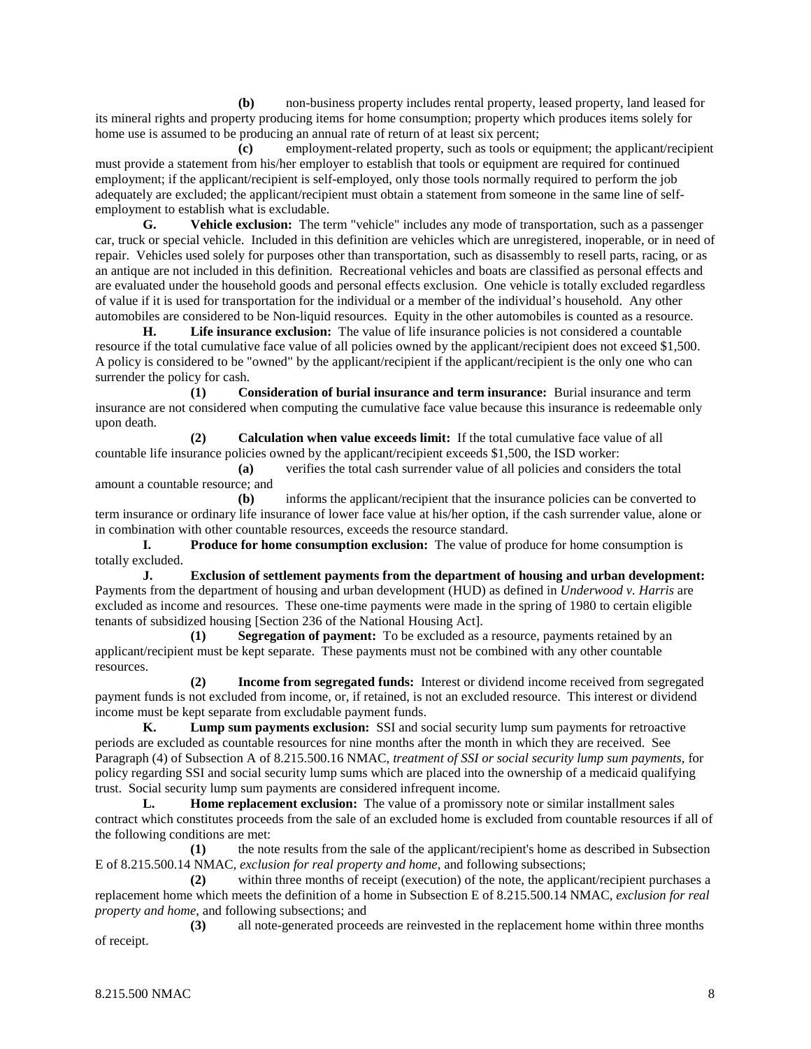**(b)** non-business property includes rental property, leased property, land leased for its mineral rights and property producing items for home consumption; property which produces items solely for home use is assumed to be producing an annual rate of return of at least six percent;

**(c)** employment-related property, such as tools or equipment; the applicant/recipient must provide a statement from his/her employer to establish that tools or equipment are required for continued employment; if the applicant/recipient is self-employed, only those tools normally required to perform the job adequately are excluded; the applicant/recipient must obtain a statement from someone in the same line of selfemployment to establish what is excludable.

**G. Vehicle exclusion:** The term "vehicle" includes any mode of transportation, such as a passenger car, truck or special vehicle. Included in this definition are vehicles which are unregistered, inoperable, or in need of repair. Vehicles used solely for purposes other than transportation, such as disassembly to resell parts, racing, or as an antique are not included in this definition. Recreational vehicles and boats are classified as personal effects and are evaluated under the household goods and personal effects exclusion. One vehicle is totally excluded regardless of value if it is used for transportation for the individual or a member of the individual's household. Any other automobiles are considered to be Non-liquid resources. Equity in the other automobiles is counted as a resource.

**H. Life insurance exclusion:** The value of life insurance policies is not considered a countable resource if the total cumulative face value of all policies owned by the applicant/recipient does not exceed \$1,500. A policy is considered to be "owned" by the applicant/recipient if the applicant/recipient is the only one who can surrender the policy for cash.

**(1) Consideration of burial insurance and term insurance:** Burial insurance and term insurance are not considered when computing the cumulative face value because this insurance is redeemable only upon death.

**(2) Calculation when value exceeds limit:** If the total cumulative face value of all countable life insurance policies owned by the applicant/recipient exceeds \$1,500, the ISD worker:

**(a)** verifies the total cash surrender value of all policies and considers the total amount a countable resource; and

**(b)** informs the applicant/recipient that the insurance policies can be converted to term insurance or ordinary life insurance of lower face value at his/her option, if the cash surrender value, alone or in combination with other countable resources, exceeds the resource standard.

**I. Produce for home consumption exclusion:** The value of produce for home consumption is totally excluded.

**J. Exclusion of settlement payments from the department of housing and urban development:** Payments from the department of housing and urban development (HUD) as defined in *Underwood v. Harris* are excluded as income and resources. These one-time payments were made in the spring of 1980 to certain eligible tenants of subsidized housing [Section 236 of the National Housing Act].

**(1) Segregation of payment:** To be excluded as a resource, payments retained by an applicant/recipient must be kept separate. These payments must not be combined with any other countable resources.

**(2) Income from segregated funds:** Interest or dividend income received from segregated payment funds is not excluded from income, or, if retained, is not an excluded resource. This interest or dividend income must be kept separate from excludable payment funds.

**K. Lump sum payments exclusion:** SSI and social security lump sum payments for retroactive periods are excluded as countable resources for nine months after the month in which they are received. See Paragraph (4) of Subsection A of 8.215.500.16 NMAC, *treatment of SSI or social security lump sum payments*, for policy regarding SSI and social security lump sums which are placed into the ownership of a medicaid qualifying trust. Social security lump sum payments are considered infrequent income.

**L. Home replacement exclusion:** The value of a promissory note or similar installment sales contract which constitutes proceeds from the sale of an excluded home is excluded from countable resources if all of the following conditions are met:

**(1)** the note results from the sale of the applicant/recipient's home as described in Subsection E of 8.215.500.14 NMAC, *exclusion for real property and home*, and following subsections;

**(2)** within three months of receipt (execution) of the note, the applicant/recipient purchases a replacement home which meets the definition of a home in Subsection E of 8.215.500.14 NMAC, *exclusion for real property and home*, and following subsections; and

**(3)** all note-generated proceeds are reinvested in the replacement home within three months of receipt.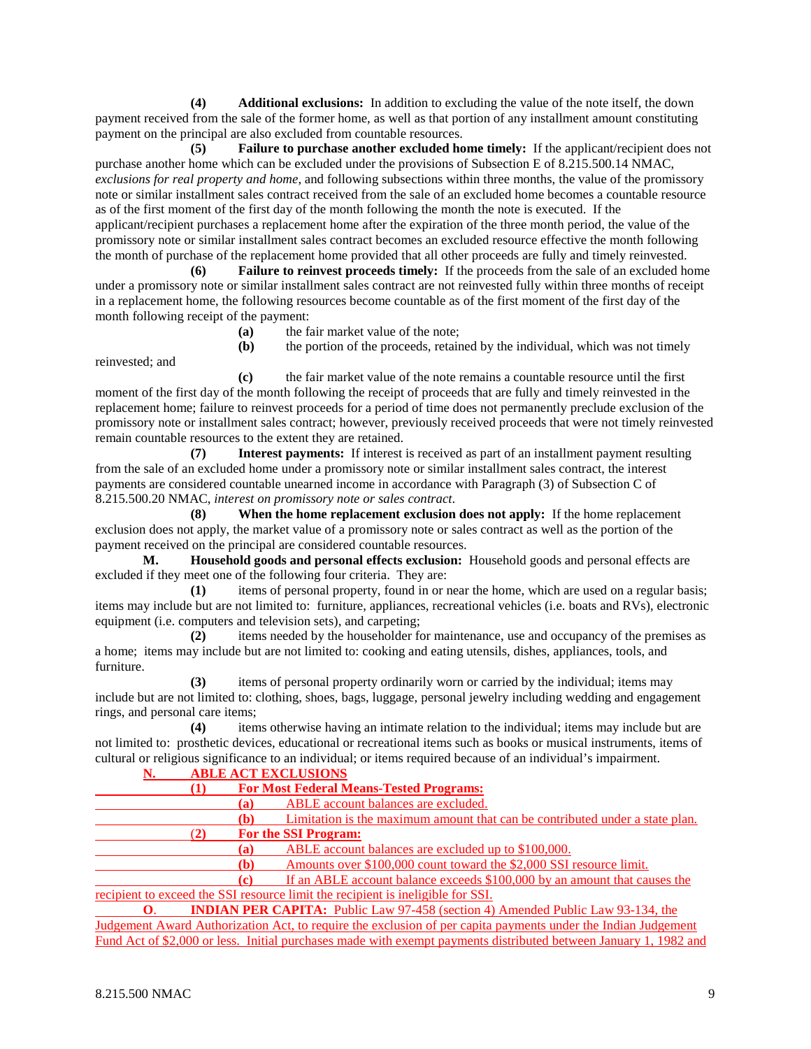**(4) Additional exclusions:** In addition to excluding the value of the note itself, the down payment received from the sale of the former home, as well as that portion of any installment amount constituting payment on the principal are also excluded from countable resources.

**(5) Failure to purchase another excluded home timely:** If the applicant/recipient does not purchase another home which can be excluded under the provisions of Subsection E of 8.215.500.14 NMAC, *exclusions for real property and home*, and following subsections within three months, the value of the promissory note or similar installment sales contract received from the sale of an excluded home becomes a countable resource as of the first moment of the first day of the month following the month the note is executed. If the applicant/recipient purchases a replacement home after the expiration of the three month period, the value of the promissory note or similar installment sales contract becomes an excluded resource effective the month following the month of purchase of the replacement home provided that all other proceeds are fully and timely reinvested.

**(6) Failure to reinvest proceeds timely:** If the proceeds from the sale of an excluded home under a promissory note or similar installment sales contract are not reinvested fully within three months of receipt in a replacement home, the following resources become countable as of the first moment of the first day of the month following receipt of the payment:

**(a)** the fair market value of the note;

reinvested; and

**(b)** the portion of the proceeds, retained by the individual, which was not timely

**(c)** the fair market value of the note remains a countable resource until the first moment of the first day of the month following the receipt of proceeds that are fully and timely reinvested in the replacement home; failure to reinvest proceeds for a period of time does not permanently preclude exclusion of the promissory note or installment sales contract; however, previously received proceeds that were not timely reinvested remain countable resources to the extent they are retained.

**(7) Interest payments:** If interest is received as part of an installment payment resulting from the sale of an excluded home under a promissory note or similar installment sales contract, the interest payments are considered countable unearned income in accordance with Paragraph (3) of Subsection C of 8.215.500.20 NMAC, *interest on promissory note or sales contract*.

**(8) When the home replacement exclusion does not apply:** If the home replacement exclusion does not apply, the market value of a promissory note or sales contract as well as the portion of the payment received on the principal are considered countable resources.

**M. Household goods and personal effects exclusion:** Household goods and personal effects are excluded if they meet one of the following four criteria. They are:

**(1)** items of personal property, found in or near the home, which are used on a regular basis; items may include but are not limited to: furniture, appliances, recreational vehicles (i.e. boats and RVs), electronic equipment (i.e. computers and television sets), and carpeting;

**(2)** items needed by the householder for maintenance, use and occupancy of the premises as a home; items may include but are not limited to: cooking and eating utensils, dishes, appliances, tools, and furniture.

**(3)** items of personal property ordinarily worn or carried by the individual; items may include but are not limited to: clothing, shoes, bags, luggage, personal jewelry including wedding and engagement rings, and personal care items;

**(4)** items otherwise having an intimate relation to the individual; items may include but are not limited to: prosthetic devices, educational or recreational items such as books or musical instruments, items of cultural or religious significance to an individual; or items required because of an individual's impairment.

|                   |     | <b>ABLE ACT EXCLUSIONS</b>                                                                 |  |  |  |
|-------------------|-----|--------------------------------------------------------------------------------------------|--|--|--|
|                   | (1) | <b>For Most Federal Means-Tested Programs:</b>                                             |  |  |  |
|                   | (a) | ABLE account balances are excluded.                                                        |  |  |  |
|                   | (b) | Limitation is the maximum amount that can be contributed under a state plan.               |  |  |  |
|                   | (2) | <b>For the SSI Program:</b>                                                                |  |  |  |
|                   | (a) | ABLE account balances are excluded up to \$100,000.                                        |  |  |  |
|                   | (b) | Amounts over \$100,000 count toward the \$2,000 SSI resource limit.                        |  |  |  |
|                   | (c) | If an ABLE account balance exceeds \$100,000 by an amount that causes the                  |  |  |  |
|                   |     | recipient to exceed the SSI resource limit the recipient is ineligible for SSI.            |  |  |  |
| $\mathbf{\Omega}$ |     | <b>INIDEX NUMBER CARDINAL IN 11. I.L.</b> (07.450.6), and also also that it is (02.104.4). |  |  |  |

**O**. **INDIAN PER CAPITA:** Public Law 97-458 (section 4) Amended Public Law 93-134, the Judgement Award Authorization Act, to require the exclusion of per capita payments under the Indian Judgement Fund Act of \$2,000 or less. Initial purchases made with exempt payments distributed between January 1, 1982 and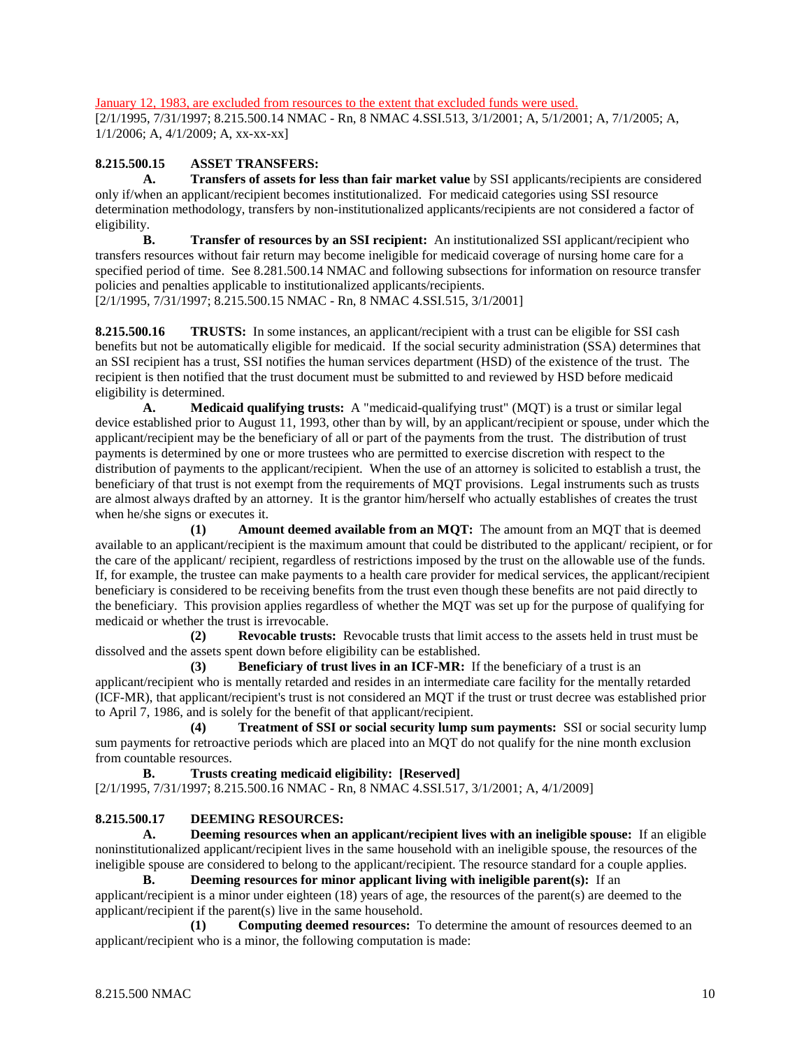January 12, 1983, are excluded from resources to the extent that excluded funds were used.

[2/1/1995, 7/31/1997; 8.215.500.14 NMAC - Rn, 8 NMAC 4.SSI.513, 3/1/2001; A, 5/1/2001; A, 7/1/2005; A, 1/1/2006; A, 4/1/2009; A, xx-xx-xx]

#### **8.215.500.15 ASSET TRANSFERS:**

**A. Transfers of assets for less than fair market value** by SSI applicants/recipients are considered only if/when an applicant/recipient becomes institutionalized. For medicaid categories using SSI resource determination methodology, transfers by non-institutionalized applicants/recipients are not considered a factor of eligibility.

**B. Transfer of resources by an SSI recipient:** An institutionalized SSI applicant/recipient who transfers resources without fair return may become ineligible for medicaid coverage of nursing home care for a specified period of time. See 8.281.500.14 NMAC and following subsections for information on resource transfer policies and penalties applicable to institutionalized applicants/recipients. [2/1/1995, 7/31/1997; 8.215.500.15 NMAC - Rn, 8 NMAC 4.SSI.515, 3/1/2001]

**8.215.500.16 TRUSTS:** In some instances, an applicant/recipient with a trust can be eligible for SSI cash benefits but not be automatically eligible for medicaid. If the social security administration (SSA) determines that an SSI recipient has a trust, SSI notifies the human services department (HSD) of the existence of the trust. The recipient is then notified that the trust document must be submitted to and reviewed by HSD before medicaid eligibility is determined.

**A. Medicaid qualifying trusts:** A "medicaid-qualifying trust" (MQT) is a trust or similar legal device established prior to August 11, 1993, other than by will, by an applicant/recipient or spouse, under which the applicant/recipient may be the beneficiary of all or part of the payments from the trust. The distribution of trust payments is determined by one or more trustees who are permitted to exercise discretion with respect to the distribution of payments to the applicant/recipient. When the use of an attorney is solicited to establish a trust, the beneficiary of that trust is not exempt from the requirements of MQT provisions. Legal instruments such as trusts are almost always drafted by an attorney. It is the grantor him/herself who actually establishes of creates the trust when he/she signs or executes it.

**(1) Amount deemed available from an MQT:** The amount from an MQT that is deemed available to an applicant/recipient is the maximum amount that could be distributed to the applicant/ recipient, or for the care of the applicant/ recipient, regardless of restrictions imposed by the trust on the allowable use of the funds. If, for example, the trustee can make payments to a health care provider for medical services, the applicant/recipient beneficiary is considered to be receiving benefits from the trust even though these benefits are not paid directly to the beneficiary. This provision applies regardless of whether the MQT was set up for the purpose of qualifying for medicaid or whether the trust is irrevocable.

**(2) Revocable trusts:** Revocable trusts that limit access to the assets held in trust must be dissolved and the assets spent down before eligibility can be established.

**(3) Beneficiary of trust lives in an ICF-MR:** If the beneficiary of a trust is an applicant/recipient who is mentally retarded and resides in an intermediate care facility for the mentally retarded (ICF-MR), that applicant/recipient's trust is not considered an MQT if the trust or trust decree was established prior to April 7, 1986, and is solely for the benefit of that applicant/recipient.

**(4) Treatment of SSI or social security lump sum payments:** SSI or social security lump sum payments for retroactive periods which are placed into an MQT do not qualify for the nine month exclusion from countable resources.

**B. Trusts creating medicaid eligibility: [Reserved]** [2/1/1995, 7/31/1997; 8.215.500.16 NMAC - Rn, 8 NMAC 4.SSI.517, 3/1/2001; A, 4/1/2009]

## **8.215.500.17 DEEMING RESOURCES:**

**A. Deeming resources when an applicant/recipient lives with an ineligible spouse:** If an eligible noninstitutionalized applicant/recipient lives in the same household with an ineligible spouse, the resources of the ineligible spouse are considered to belong to the applicant/recipient. The resource standard for a couple applies.

**B. Deeming resources for minor applicant living with ineligible parent(s):** If an applicant/recipient is a minor under eighteen (18) years of age, the resources of the parent(s) are deemed to the applicant/recipient if the parent(s) live in the same household.

**(1) Computing deemed resources:** To determine the amount of resources deemed to an applicant/recipient who is a minor, the following computation is made: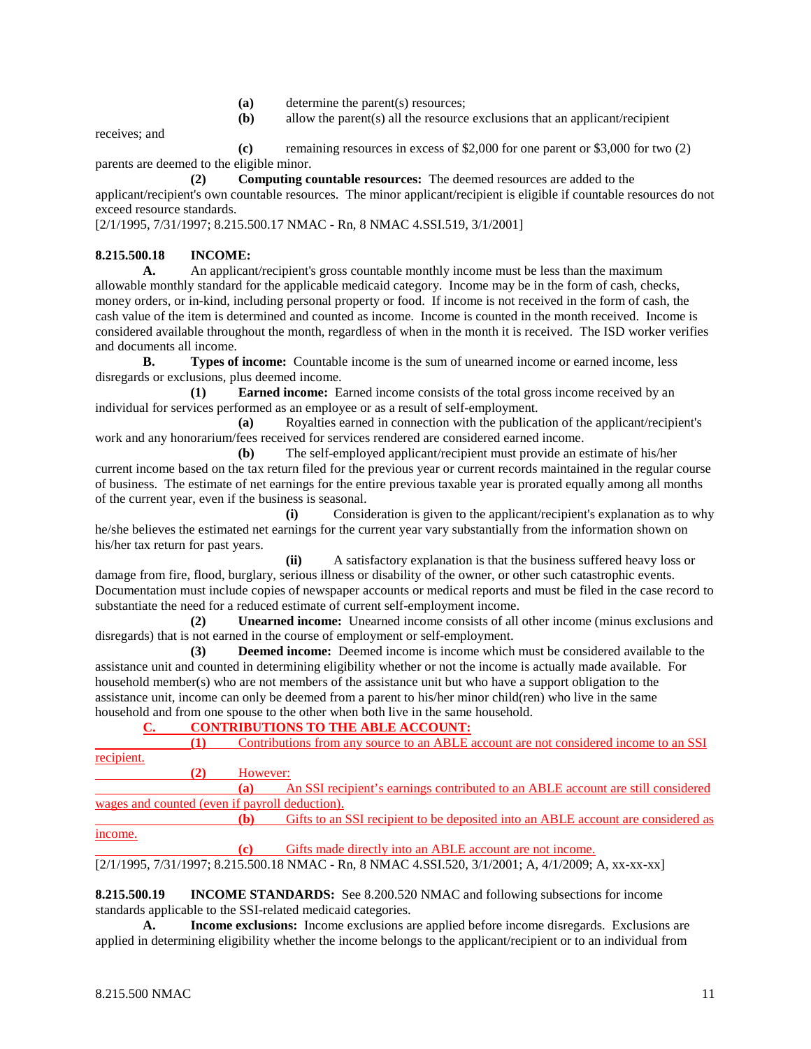- **(a)** determine the parent(s) resources;
- **(b)** allow the parent(s) all the resource exclusions that an applicant/recipient

receives; and

**(c)** remaining resources in excess of \$2,000 for one parent or \$3,000 for two (2) parents are deemed to the eligible minor.

**(2) Computing countable resources:** The deemed resources are added to the applicant/recipient's own countable resources. The minor applicant/recipient is eligible if countable resources do not exceed resource standards.

[2/1/1995, 7/31/1997; 8.215.500.17 NMAC - Rn, 8 NMAC 4.SSI.519, 3/1/2001]

# **8.215.500.18 INCOME:**

**A.** An applicant/recipient's gross countable monthly income must be less than the maximum allowable monthly standard for the applicable medicaid category. Income may be in the form of cash, checks, money orders, or in-kind, including personal property or food. If income is not received in the form of cash, the cash value of the item is determined and counted as income. Income is counted in the month received. Income is considered available throughout the month, regardless of when in the month it is received. The ISD worker verifies and documents all income.

**B. Types of income:** Countable income is the sum of unearned income or earned income, less disregards or exclusions, plus deemed income.

**(1) Earned income:** Earned income consists of the total gross income received by an individual for services performed as an employee or as a result of self-employment.

**(a)** Royalties earned in connection with the publication of the applicant/recipient's work and any honorarium/fees received for services rendered are considered earned income.

**(b)** The self-employed applicant/recipient must provide an estimate of his/her current income based on the tax return filed for the previous year or current records maintained in the regular course of business. The estimate of net earnings for the entire previous taxable year is prorated equally among all months of the current year, even if the business is seasonal.

**(i)** Consideration is given to the applicant/recipient's explanation as to why he/she believes the estimated net earnings for the current year vary substantially from the information shown on his/her tax return for past years.

**(ii)** A satisfactory explanation is that the business suffered heavy loss or damage from fire, flood, burglary, serious illness or disability of the owner, or other such catastrophic events. Documentation must include copies of newspaper accounts or medical reports and must be filed in the case record to substantiate the need for a reduced estimate of current self-employment income.

**(2) Unearned income:** Unearned income consists of all other income (minus exclusions and disregards) that is not earned in the course of employment or self-employment.

**(3) Deemed income:** Deemed income is income which must be considered available to the assistance unit and counted in determining eligibility whether or not the income is actually made available. For household member(s) who are not members of the assistance unit but who have a support obligation to the assistance unit, income can only be deemed from a parent to his/her minor child(ren) who live in the same household and from one spouse to the other when both live in the same household.

# **C. CONTRIBUTIONS TO THE ABLE ACCOUNT:**

| (1)                                            |             | Contributions from any source to an ABLE account are not considered income to an SSI                  |  |  |
|------------------------------------------------|-------------|-------------------------------------------------------------------------------------------------------|--|--|
| recipient.                                     |             |                                                                                                       |  |  |
| (2)                                            | However:    |                                                                                                       |  |  |
|                                                | (a)         | An SSI recipient's earnings contributed to an ABLE account are still considered                       |  |  |
| wages and counted (even if payroll deduction). |             |                                                                                                       |  |  |
|                                                | (b)         | Gifts to an SSI recipient to be deposited into an ABLE account are considered as                      |  |  |
| income.                                        |             |                                                                                                       |  |  |
|                                                | $\mathbf c$ | Gifts made directly into an ABLE account are not income.                                              |  |  |
|                                                |             | $[2/1/1995, 7/31/1997; 8.215.500.18 NMAC - Rn, 8 NMAC 4.SSI.520, 3/1/2001; A, 4/1/2009; A, xx-xx-xx]$ |  |  |

**8.215.500.19 INCOME STANDARDS:** See 8.200.520 NMAC and following subsections for income standards applicable to the SSI-related medicaid categories.

**A. Income exclusions:** Income exclusions are applied before income disregards. Exclusions are applied in determining eligibility whether the income belongs to the applicant/recipient or to an individual from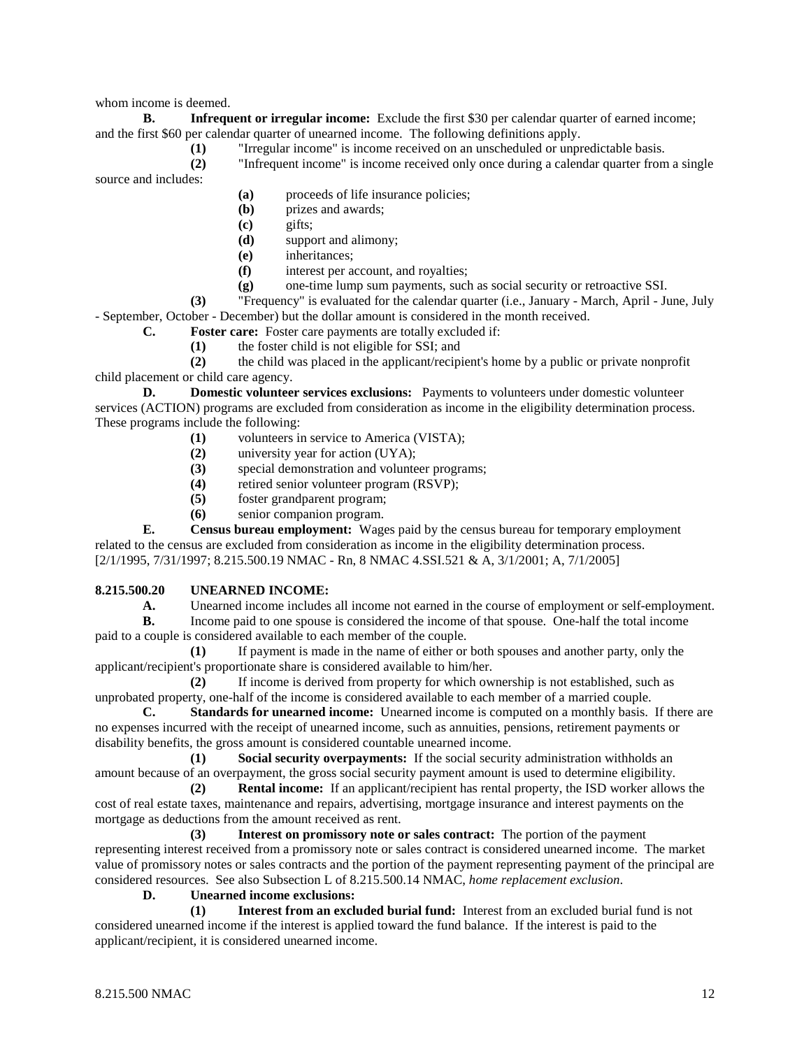whom income is deemed.

**B. Infrequent or irregular income:** Exclude the first \$30 per calendar quarter of earned income; and the first \$60 per calendar quarter of unearned income. The following definitions apply.

**(1)** "Irregular income" is income received on an unscheduled or unpredictable basis.

**(2)** "Infrequent income" is income received only once during a calendar quarter from a single source and includes:

**(a)** proceeds of life insurance policies;

**(b)** prizes and awards;

- **(c)** gifts;
- **(d)** support and alimony;
- **(e)** inheritances;
- **(f)** interest per account, and royalties;
- **(g)** one-time lump sum payments, such as social security or retroactive SSI.

**(3)** "Frequency" is evaluated for the calendar quarter (i.e., January - March, April - June, July - September, October - December) but the dollar amount is considered in the month received.

**C. Foster care:** Foster care payments are totally excluded if:

**(1)** the foster child is not eligible for SSI; and

**(2)** the child was placed in the applicant/recipient's home by a public or private nonprofit child placement or child care agency.

**D. Domestic volunteer services exclusions:** Payments to volunteers under domestic volunteer services (ACTION) programs are excluded from consideration as income in the eligibility determination process. These programs include the following:<br>(1) volunteers in

- volunteers in service to America (VISTA);
- **(2)** university year for action (UYA);
- (3) special demonstration and volunteer programs;<br>(4) retired senior volunteer program (RSVP):
- retired senior volunteer program (RSVP);
- **(5)** foster grandparent program;
- **(6)** senior companion program.

**E. Census bureau employment:** Wages paid by the census bureau for temporary employment related to the census are excluded from consideration as income in the eligibility determination process. [2/1/1995, 7/31/1997; 8.215.500.19 NMAC - Rn, 8 NMAC 4.SSI.521 & A, 3/1/2001; A, 7/1/2005]

## **8.215.500.20 UNEARNED INCOME:**

**A.** Unearned income includes all income not earned in the course of employment or self-employment.<br>**B.** Income paid to one spouse is considered the income of that spouse. One-half the total income **B.** Income paid to one spouse is considered the income of that spouse. One-half the total income paid to a couple is considered available to each member of the couple.

**(1)** If payment is made in the name of either or both spouses and another party, only the applicant/recipient's proportionate share is considered available to him/her.

**(2)** If income is derived from property for which ownership is not established, such as unprobated property, one-half of the income is considered available to each member of a married couple.

**C. Standards for unearned income:** Unearned income is computed on a monthly basis. If there are no expenses incurred with the receipt of unearned income, such as annuities, pensions, retirement payments or disability benefits, the gross amount is considered countable unearned income.

**(1) Social security overpayments:** If the social security administration withholds an amount because of an overpayment, the gross social security payment amount is used to determine eligibility.

**(2) Rental income:** If an applicant/recipient has rental property, the ISD worker allows the cost of real estate taxes, maintenance and repairs, advertising, mortgage insurance and interest payments on the mortgage as deductions from the amount received as rent.

**(3) Interest on promissory note or sales contract:** The portion of the payment representing interest received from a promissory note or sales contract is considered unearned income. The market value of promissory notes or sales contracts and the portion of the payment representing payment of the principal are considered resources. See also Subsection L of 8.215.500.14 NMAC, *home replacement exclusion*.

# **D. Unearned income exclusions:**

**(1) Interest from an excluded burial fund:** Interest from an excluded burial fund is not considered unearned income if the interest is applied toward the fund balance. If the interest is paid to the applicant/recipient, it is considered unearned income.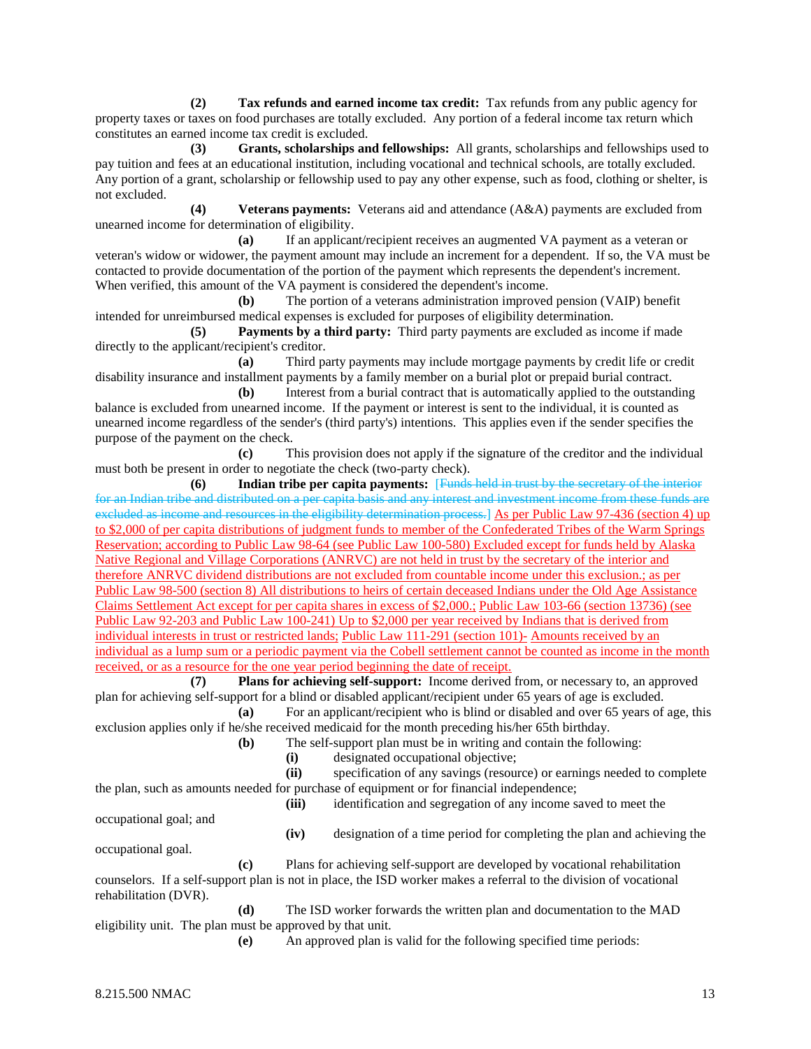**(2) Tax refunds and earned income tax credit:** Tax refunds from any public agency for property taxes or taxes on food purchases are totally excluded. Any portion of a federal income tax return which constitutes an earned income tax credit is excluded.

**(3) Grants, scholarships and fellowships:** All grants, scholarships and fellowships used to pay tuition and fees at an educational institution, including vocational and technical schools, are totally excluded. Any portion of a grant, scholarship or fellowship used to pay any other expense, such as food, clothing or shelter, is not excluded.

**(4) Veterans payments:** Veterans aid and attendance (A&A) payments are excluded from unearned income for determination of eligibility.

**(a)** If an applicant/recipient receives an augmented VA payment as a veteran or veteran's widow or widower, the payment amount may include an increment for a dependent. If so, the VA must be contacted to provide documentation of the portion of the payment which represents the dependent's increment. When verified, this amount of the VA payment is considered the dependent's income.

**(b)** The portion of a veterans administration improved pension (VAIP) benefit intended for unreimbursed medical expenses is excluded for purposes of eligibility determination.

**(5) Payments by a third party:** Third party payments are excluded as income if made directly to the applicant/recipient's creditor.

**(a)** Third party payments may include mortgage payments by credit life or credit disability insurance and installment payments by a family member on a burial plot or prepaid burial contract.

**(b)** Interest from a burial contract that is automatically applied to the outstanding balance is excluded from unearned income. If the payment or interest is sent to the individual, it is counted as unearned income regardless of the sender's (third party's) intentions. This applies even if the sender specifies the purpose of the payment on the check.

**(c)** This provision does not apply if the signature of the creditor and the individual must both be present in order to negotiate the check (two-party check).

**(6) Indian tribe per capita payments:** [Funds held in trust by the secretary of the interior for an Indian tribe and distributed on a per capita basis and any interest and investment income from these funds are excluded as income and resources in the eligibility determination process.] As per Public Law 97-436 (section 4) up to \$2,000 of per capita distributions of judgment funds to member of the Confederated Tribes of the Warm Springs Reservation; according to Public Law 98-64 (see Public Law 100-580) Excluded except for funds held by Alaska Native Regional and Village Corporations (ANRVC) are not held in trust by the secretary of the interior and therefore ANRVC dividend distributions are not excluded from countable income under this exclusion.; as per Public Law 98-500 (section 8) All distributions to heirs of certain deceased Indians under the Old Age Assistance Claims Settlement Act except for per capita shares in excess of \$2,000.; Public Law 103-66 (section 13736) (see Public Law 92-203 and Public Law 100-241) Up to \$2,000 per year received by Indians that is derived from individual interests in trust or restricted lands; Public Law 111-291 (section 101)- Amounts received by an individual as a lump sum or a periodic payment via the Cobell settlement cannot be counted as income in the month received, or as a resource for the one year period beginning the date of receipt.

**(7) Plans for achieving self-support:** Income derived from, or necessary to, an approved plan for achieving self-support for a blind or disabled applicant/recipient under 65 years of age is excluded.

**(a)** For an applicant/recipient who is blind or disabled and over 65 years of age, this exclusion applies only if he/she received medicaid for the month preceding his/her 65th birthday.

**(b)** The self-support plan must be in writing and contain the following:

**(i)** designated occupational objective;

**(ii)** specification of any savings (resource) or earnings needed to complete the plan, such as amounts needed for purchase of equipment or for financial independence; **(iii)** identification and segregation of any income saved to meet the

occupational goal; and

**(iv)** designation of a time period for completing the plan and achieving the

occupational goal.

**(c)** Plans for achieving self-support are developed by vocational rehabilitation counselors. If a self-support plan is not in place, the ISD worker makes a referral to the division of vocational rehabilitation (DVR).

**(d)** The ISD worker forwards the written plan and documentation to the MAD eligibility unit. The plan must be approved by that unit.

**(e)** An approved plan is valid for the following specified time periods: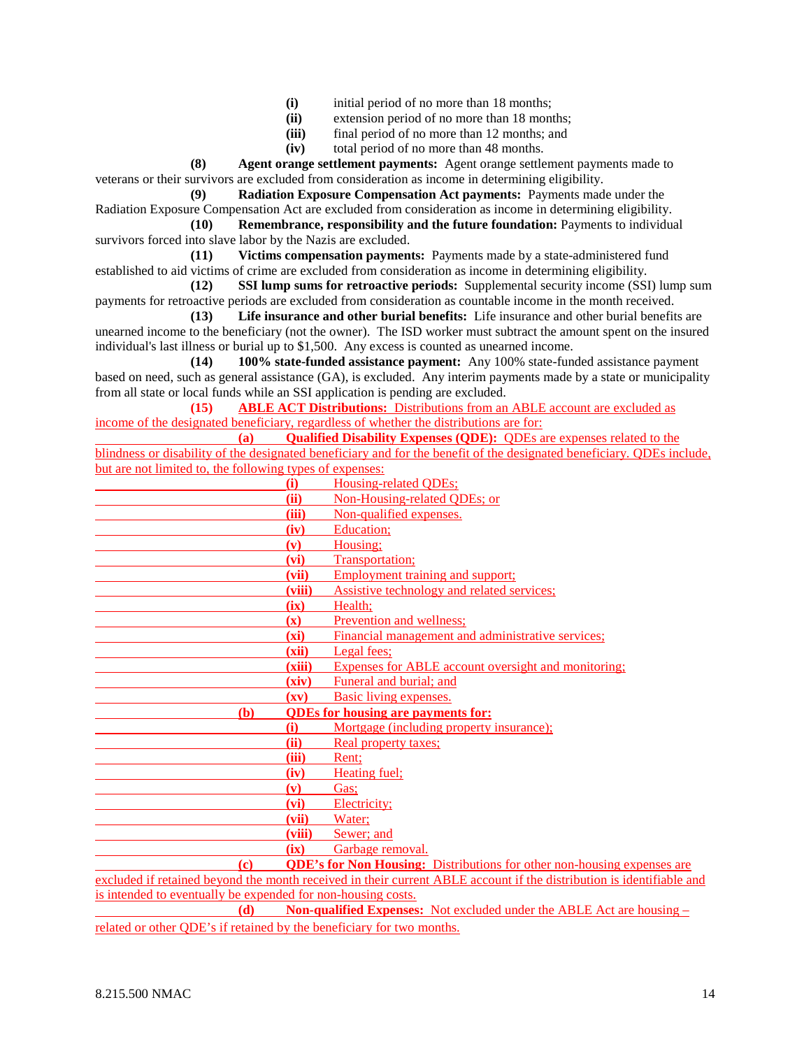- (i) initial period of no more than 18 months;<br>(ii) extension period of no more than 18 mont
- extension period of no more than 18 months;
- **(iii)** final period of no more than 12 months; and
- **(iv)** total period of no more than 48 months.

**(8) Agent orange settlement payments:** Agent orange settlement payments made to veterans or their survivors are excluded from consideration as income in determining eligibility.

**(9) Radiation Exposure Compensation Act payments:** Payments made under the Radiation Exposure Compensation Act are excluded from consideration as income in determining eligibility.

**(10) Remembrance, responsibility and the future foundation:** Payments to individual survivors forced into slave labor by the Nazis are excluded.

**(11) Victims compensation payments:** Payments made by a state-administered fund established to aid victims of crime are excluded from consideration as income in determining eligibility.

**(12) SSI lump sums for retroactive periods:** Supplemental security income (SSI) lump sum payments for retroactive periods are excluded from consideration as countable income in the month received.

**(13) Life insurance and other burial benefits:** Life insurance and other burial benefits are unearned income to the beneficiary (not the owner). The ISD worker must subtract the amount spent on the insured individual's last illness or burial up to \$1,500. Any excess is counted as unearned income.

**(14) 100% state-funded assistance payment:** Any 100% state-funded assistance payment based on need, such as general assistance (GA), is excluded. Any interim payments made by a state or municipality from all state or local funds while an SSI application is pending are excluded.

**(15) ABLE ACT Distributions:** Distributions from an ABLE account are excluded as income of the designated beneficiary, regardless of whether the distributions are for:

**(a) Qualified Disability Expenses (QDE):** QDEs are expenses related to the blindness or disability of the designated beneficiary and for the benefit of the designated beneficiary. QDEs include, but are not limited to, the following types of expenses:

| $\sigma$ at are not minited to, the rong will problem or experises. |                          |                                                                                                                      |  |  |
|---------------------------------------------------------------------|--------------------------|----------------------------------------------------------------------------------------------------------------------|--|--|
| (i)                                                                 |                          | Housing-related QDEs;                                                                                                |  |  |
|                                                                     | (ii)                     | Non-Housing-related QDEs; or                                                                                         |  |  |
|                                                                     | (iii)                    | Non-qualified expenses.                                                                                              |  |  |
|                                                                     | (iv)                     | Education;                                                                                                           |  |  |
|                                                                     | (v)                      | Housing;                                                                                                             |  |  |
|                                                                     | (vi)                     | Transportation;                                                                                                      |  |  |
|                                                                     | (vii)                    | <b>Employment training and support;</b>                                                                              |  |  |
|                                                                     | (viii)                   | Assistive technology and related services;                                                                           |  |  |
|                                                                     | (ix)                     | Health;                                                                                                              |  |  |
|                                                                     | (x)                      | Prevention and wellness;                                                                                             |  |  |
|                                                                     | (xi)                     | Financial management and administrative services;                                                                    |  |  |
|                                                                     | (xii)                    | Legal fees;                                                                                                          |  |  |
|                                                                     | (xiii)                   | Expenses for ABLE account oversight and monitoring:                                                                  |  |  |
|                                                                     | (xiv)                    | Funeral and burial; and                                                                                              |  |  |
|                                                                     | $(\mathbf{x}\mathbf{v})$ | Basic living expenses.                                                                                               |  |  |
| <b>(b)</b>                                                          |                          | <b>QDEs for housing are payments for:</b>                                                                            |  |  |
| (i)                                                                 |                          | Mortgage (including property insurance);                                                                             |  |  |
|                                                                     | (ii)                     | Real property taxes;                                                                                                 |  |  |
|                                                                     | (iii)                    | Rent;                                                                                                                |  |  |
|                                                                     | (iv)                     | Heating fuel;                                                                                                        |  |  |
|                                                                     | (v)                      | Gas;                                                                                                                 |  |  |
|                                                                     | (vi)                     | Electricity;                                                                                                         |  |  |
|                                                                     | (vii)                    | Water;                                                                                                               |  |  |
|                                                                     | (viii)                   | Sewer; and                                                                                                           |  |  |
|                                                                     | (ix)                     | Garbage removal.                                                                                                     |  |  |
| $\left( \mathbf{c} \right)$                                         |                          | <b>QDE's for Non Housing:</b> Distributions for other non-housing expenses are                                       |  |  |
|                                                                     |                          | excluded if retained beyond the month received in their current ABLE account if the distribution is identifiable and |  |  |
| is intended to eventually be expended for non-housing costs.        |                          |                                                                                                                      |  |  |
| <b><i>CONTACT</i></b>                                               |                          | <b>STATE STATE STATE</b><br>$\mathbf{M}$ and $\mathbf{M}$ and $\mathbf{M}$ and $\mathbf{M}$ and $\mathbf{M}$         |  |  |

**(d) Non-qualified Expenses:** Not excluded under the ABLE Act are housing – related or other QDE's if retained by the beneficiary for two months.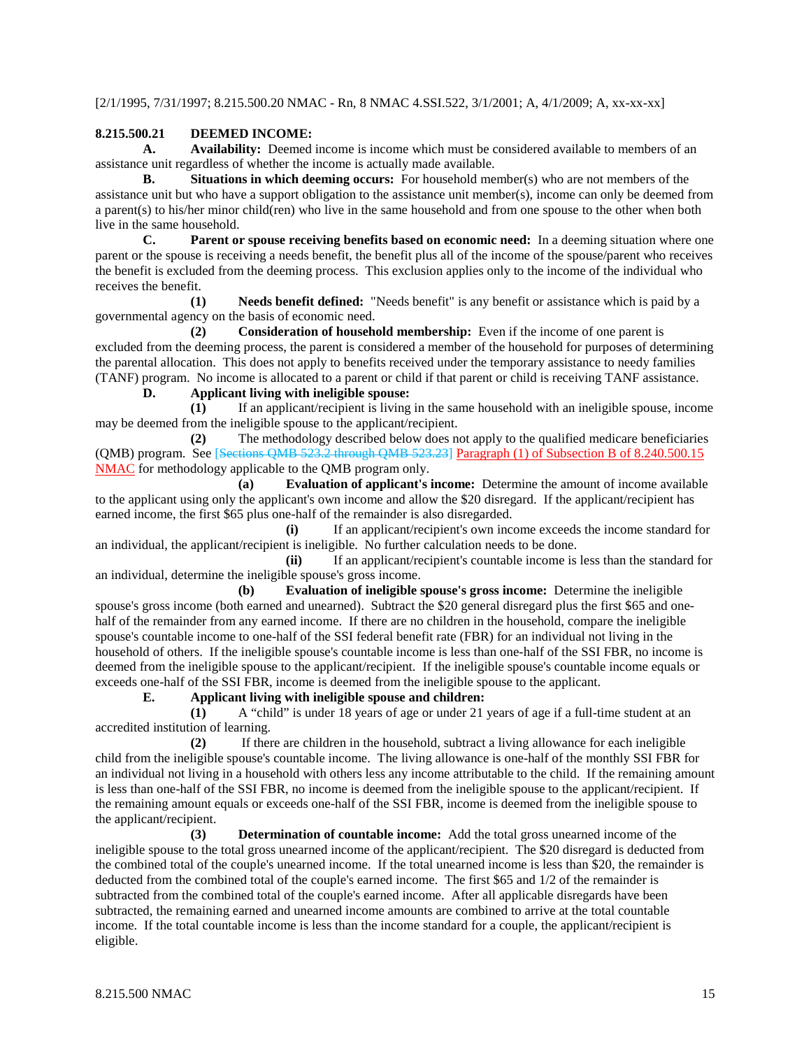[2/1/1995, 7/31/1997; 8.215.500.20 NMAC - Rn, 8 NMAC 4.SSI.522, 3/1/2001; A, 4/1/2009; A, xx-xx-xx]

# **8.215.500.21 DEEMED INCOME:**

**A. Availability:** Deemed income is income which must be considered available to members of an assistance unit regardless of whether the income is actually made available.

**B. Situations in which deeming occurs:** For household member(s) who are not members of the assistance unit but who have a support obligation to the assistance unit member(s), income can only be deemed from a parent(s) to his/her minor child(ren) who live in the same household and from one spouse to the other when both live in the same household.

**C. Parent or spouse receiving benefits based on economic need:** In a deeming situation where one parent or the spouse is receiving a needs benefit, the benefit plus all of the income of the spouse/parent who receives the benefit is excluded from the deeming process. This exclusion applies only to the income of the individual who receives the benefit.

**(1) Needs benefit defined:** "Needs benefit" is any benefit or assistance which is paid by a governmental agency on the basis of economic need.

**(2) Consideration of household membership:** Even if the income of one parent is excluded from the deeming process, the parent is considered a member of the household for purposes of determining the parental allocation. This does not apply to benefits received under the temporary assistance to needy families (TANF) program. No income is allocated to a parent or child if that parent or child is receiving TANF assistance.

# **D. Applicant living with ineligible spouse:**

**(1)** If an applicant/recipient is living in the same household with an ineligible spouse, income may be deemed from the ineligible spouse to the applicant/recipient.

**(2)** The methodology described below does not apply to the qualified medicare beneficiaries (QMB) program. See [Sections QMB 523.2 through QMB 523.23] Paragraph (1) of Subsection B of 8.240.500.15 NMAC for methodology applicable to the QMB program only.

**(a) Evaluation of applicant's income:** Determine the amount of income available to the applicant using only the applicant's own income and allow the \$20 disregard. If the applicant/recipient has earned income, the first \$65 plus one-half of the remainder is also disregarded.

**(i)** If an applicant/recipient's own income exceeds the income standard for an individual, the applicant/recipient is ineligible. No further calculation needs to be done.

**(ii)** If an applicant/recipient's countable income is less than the standard for an individual, determine the ineligible spouse's gross income.

**(b) Evaluation of ineligible spouse's gross income:** Determine the ineligible spouse's gross income (both earned and unearned). Subtract the \$20 general disregard plus the first \$65 and onehalf of the remainder from any earned income. If there are no children in the household, compare the ineligible spouse's countable income to one-half of the SSI federal benefit rate (FBR) for an individual not living in the household of others. If the ineligible spouse's countable income is less than one-half of the SSI FBR, no income is deemed from the ineligible spouse to the applicant/recipient. If the ineligible spouse's countable income equals or exceeds one-half of the SSI FBR, income is deemed from the ineligible spouse to the applicant.

## **E. Applicant living with ineligible spouse and children:**

**(1)** A "child" is under 18 years of age or under 21 years of age if a full-time student at an accredited institution of learning.

**(2)** If there are children in the household, subtract a living allowance for each ineligible child from the ineligible spouse's countable income. The living allowance is one-half of the monthly SSI FBR for an individual not living in a household with others less any income attributable to the child. If the remaining amount is less than one-half of the SSI FBR, no income is deemed from the ineligible spouse to the applicant/recipient. If the remaining amount equals or exceeds one-half of the SSI FBR, income is deemed from the ineligible spouse to the applicant/recipient.

**(3) Determination of countable income:** Add the total gross unearned income of the ineligible spouse to the total gross unearned income of the applicant/recipient. The \$20 disregard is deducted from the combined total of the couple's unearned income. If the total unearned income is less than \$20, the remainder is deducted from the combined total of the couple's earned income. The first \$65 and 1/2 of the remainder is subtracted from the combined total of the couple's earned income. After all applicable disregards have been subtracted, the remaining earned and unearned income amounts are combined to arrive at the total countable income. If the total countable income is less than the income standard for a couple, the applicant/recipient is eligible.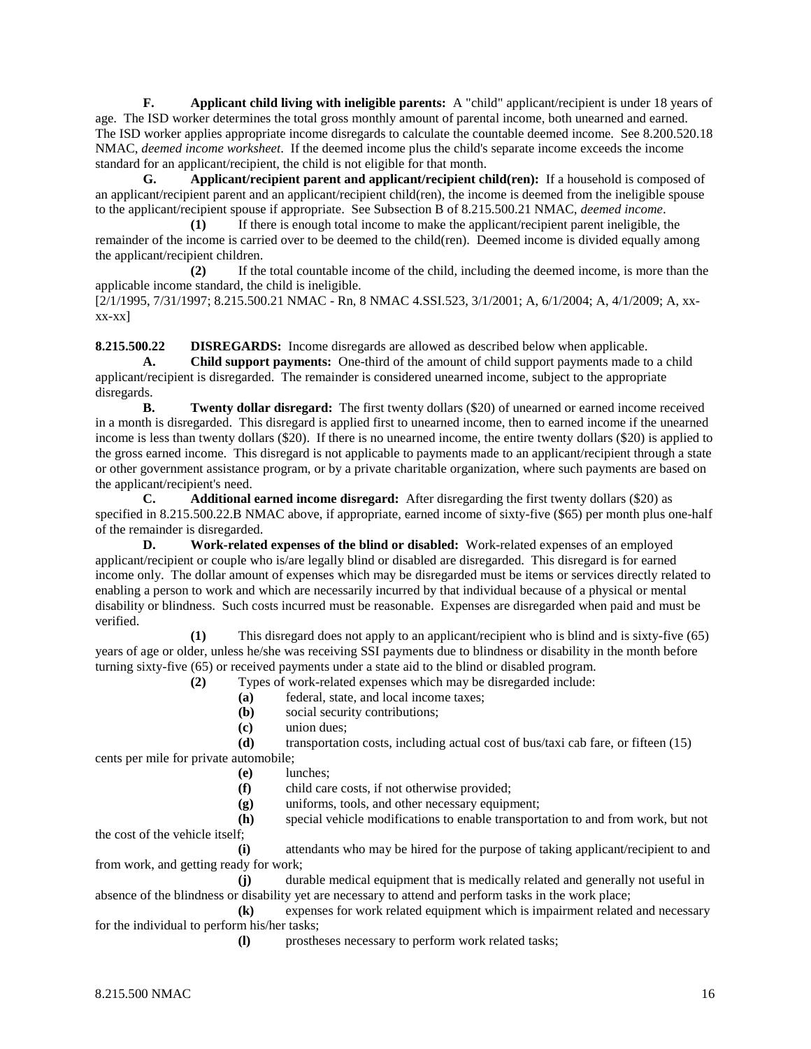**F. Applicant child living with ineligible parents:** A "child" applicant/recipient is under 18 years of age. The ISD worker determines the total gross monthly amount of parental income, both unearned and earned. The ISD worker applies appropriate income disregards to calculate the countable deemed income. See 8.200.520.18 NMAC, *deemed income worksheet*. If the deemed income plus the child's separate income exceeds the income standard for an applicant/recipient, the child is not eligible for that month.

**G. Applicant/recipient parent and applicant/recipient child(ren):** If a household is composed of an applicant/recipient parent and an applicant/recipient child(ren), the income is deemed from the ineligible spouse to the applicant/recipient spouse if appropriate. See Subsection B of 8.215.500.21 NMAC, *deemed income*.

**(1)** If there is enough total income to make the applicant/recipient parent ineligible, the remainder of the income is carried over to be deemed to the child(ren). Deemed income is divided equally among the applicant/recipient children.

**(2)** If the total countable income of the child, including the deemed income, is more than the applicable income standard, the child is ineligible.

[2/1/1995, 7/31/1997; 8.215.500.21 NMAC - Rn, 8 NMAC 4.SSI.523, 3/1/2001; A, 6/1/2004; A, 4/1/2009; A, xx $xx-xx$ ]

**8.215.500.22 DISREGARDS:** Income disregards are allowed as described below when applicable.

**A. Child support payments:** One-third of the amount of child support payments made to a child applicant/recipient is disregarded. The remainder is considered unearned income, subject to the appropriate disregards.

**B. Twenty dollar disregard:** The first twenty dollars (\$20) of unearned or earned income received in a month is disregarded. This disregard is applied first to unearned income, then to earned income if the unearned income is less than twenty dollars (\$20). If there is no unearned income, the entire twenty dollars (\$20) is applied to the gross earned income. This disregard is not applicable to payments made to an applicant/recipient through a state or other government assistance program, or by a private charitable organization, where such payments are based on the applicant/recipient's need.

**C. Additional earned income disregard:** After disregarding the first twenty dollars (\$20) as specified in 8.215.500.22.B NMAC above, if appropriate, earned income of sixty-five (\$65) per month plus one-half of the remainder is disregarded.

**D. Work-related expenses of the blind or disabled:** Work-related expenses of an employed applicant/recipient or couple who is/are legally blind or disabled are disregarded. This disregard is for earned income only. The dollar amount of expenses which may be disregarded must be items or services directly related to enabling a person to work and which are necessarily incurred by that individual because of a physical or mental disability or blindness. Such costs incurred must be reasonable. Expenses are disregarded when paid and must be verified.

**(1)** This disregard does not apply to an applicant/recipient who is blind and is sixty-five (65) years of age or older, unless he/she was receiving SSI payments due to blindness or disability in the month before turning sixty-five (65) or received payments under a state aid to the blind or disabled program.

**(2)** Types of work-related expenses which may be disregarded include:

- **(a)** federal, state, and local income taxes;
- **(b)** social security contributions;
- **(c)** union dues;

**(d)** transportation costs, including actual cost of bus/taxi cab fare, or fifteen (15) cents per mile for private automobile;

- **(e)** lunches;
- **(f)** child care costs, if not otherwise provided;
- **(g)** uniforms, tools, and other necessary equipment;

**(h)** special vehicle modifications to enable transportation to and from work, but not the cost of the vehicle itself;

**(i)** attendants who may be hired for the purpose of taking applicant/recipient to and from work, and getting ready for work;

**(j)** durable medical equipment that is medically related and generally not useful in absence of the blindness or disability yet are necessary to attend and perform tasks in the work place;

**(k)** expenses for work related equipment which is impairment related and necessary for the individual to perform his/her tasks;

**(l)** prostheses necessary to perform work related tasks;